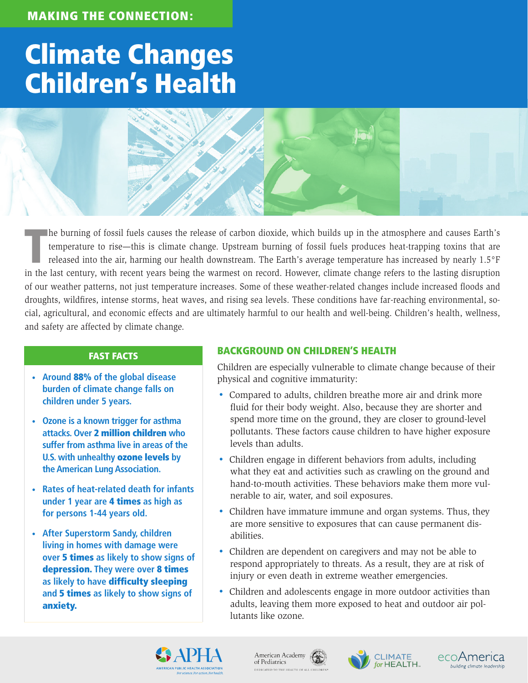# Climate Changes Children's Health

The burning of fossil fuels causes the release of carbon dioxide, which builds up in the atmosphere and causes Earth's temperature to rise—this is climate change. Upstream burning of fossil fuels produces heat-trapping tox temperature to rise—this is climate change. Upstream burning of fossil fuels produces heat-trapping toxins that are released into the air, harming our health downstream. The Earth's average temperature has increased by nearly 1.5°F in the last century, with recent years being the warmest on record. However, climate change refers to the lasting disruption of our weather patterns, not just temperature increases. Some of these weather-related changes include increased floods and droughts, wildfires, intense storms, heat waves, and rising sea levels. These conditions have far-reaching environmental, social, agricultural, and economic effects and are ultimately harmful to our health and well-being. Children's health, wellness, and safety are affected by climate change.

### FAST FACTS

- **• Around** 88% **of the global disease burden of climate change falls on children under 5 years.**
- **• Ozone is a known trigger for asthma attacks. Over** 2 million children **who suffer from asthma live in areas of the U.S. with unhealthy** ozone levels **by the American Lung Association.**
- **• Rates of heat-related death for infants under 1 year are** 4 times **as high as for persons 1-44 years old.**
- **• After Superstorm Sandy, children living in homes with damage were over** 5 times **as likely to show signs of**  depression. **They were over** 8 times **as likely to have** difficulty sleeping **and** 5 times **as likely to show signs of**  anxiety.

## BACKGROUND ON CHILDREN'S HEALTH

Children are especially vulnerable to climate change because of their physical and cognitive immaturity:

- Compared to adults, children breathe more air and drink more fluid for their body weight. Also, because they are shorter and spend more time on the ground, they are closer to ground-level pollutants. These factors cause children to have higher exposure levels than adults.
- Children engage in different behaviors from adults, including what they eat and activities such as crawling on the ground and hand-to-mouth activities. These behaviors make them more vulnerable to air, water, and soil exposures.
- Children have immature immune and organ systems. Thus, they are more sensitive to exposures that can cause permanent disabilities.
- Children are dependent on caregivers and may not be able to respond appropriately to threats. As a result, they are at risk of injury or even death in extreme weather emergencies.
- Children and adolescents engage in more outdoor activities than adults, leaving them more exposed to heat and outdoor air pollutants like ozone.



American Academy of Pediatrics DEDICATED TO THE HEALTH OF A